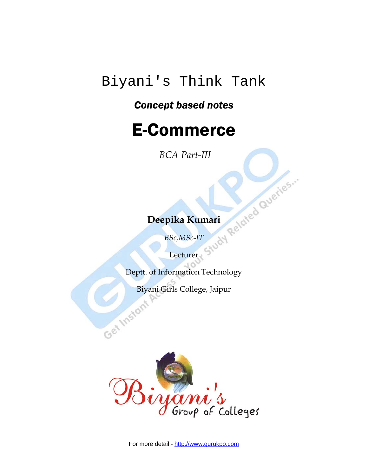## Biyani's Think Tank

## *Concept based notes*

## E-Commerce

 *BCA Part-III* 

## **Deepika Kumari**

*BSc,MSc-IT* 

Lecturer

Deptt. of Information Technology

Biyani Girls College, Jaipur



For more detail:- http://www.gurukpo.com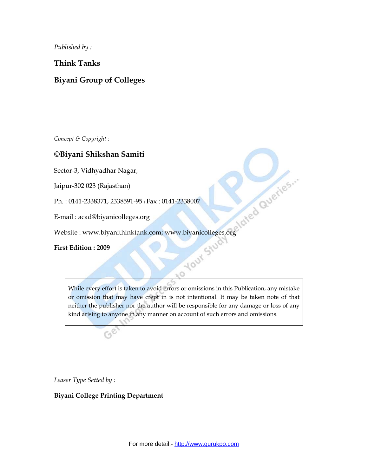*Published by :*

**Think Tanks** 

#### **Biyani Group of Colleges**

*Concept & Copyright :* 

#### **©Biyani Shikshan Samiti**

Sector-3, Vidhyadhar Nagar,

Jaipur-302 023 (Rajasthan)

Ph. : 0141-2338371, 2338591-95 l Fax : 0141-2338007

E-mail : acad@biyanicolleges.org

Website : www.biyanithinktank.com; www.biyanicolleges.org

**First Edition : 2009** 

While every effort is taken to avoid errors or omissions in this Publication, any mistake or omission that may have crept in is not intentional. It may be taken note of that neither the publisher nor the author will be responsible for any damage or loss of any kind arising to anyone in any manner on account of such errors and omissions.

*Leaser Type Setted by :* 

**Biyani College Printing Department**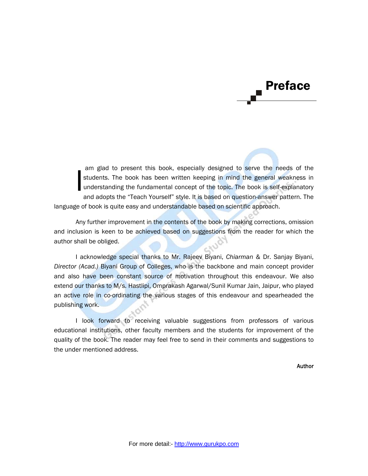# Preface

 am glad to present this book, especially designed to serve the needs of the students. The book has been written keeping in mind the general weakness in understanding the fundamental concept of the topic. The book is self-explanatory and adopts the "Teach Yourself" style. It is based on question-answer pattern. The language of book is quite easy and understandable based on scientific approach. I

 Any further improvement in the contents of the book by making corrections, omission and inclusion is keen to be achieved based on suggestions from the reader for which the author shall be obliged.

I acknowledge special thanks to Mr. Rajeev Biyani, *Chiarman* & Dr. Sanjay Biyani, *Director (Acad.)* Biyani Group of Colleges, who is the backbone and main concept provider and also have been constant source of motivation throughout this endeavour. We also extend our thanks to M/s. Hastlipi, Omprakash Agarwal/Sunil Kumar Jain, Jaipur, who played an active role in co-ordinating the various stages of this endeavour and spearheaded the publishing work.

I look forward to receiving valuable suggestions from professors of various educational institutions, other faculty members and the students for improvement of the quality of the book. The reader may feel free to send in their comments and suggestions to the under mentioned address.

Author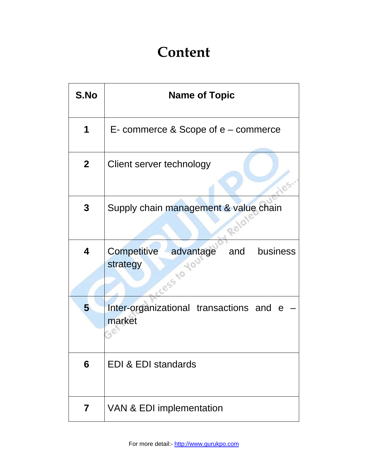## **Content**

| S.No         | <b>Name of Topic</b>                                                            |  |  |  |  |  |
|--------------|---------------------------------------------------------------------------------|--|--|--|--|--|
| 1            | $E$ - commerce & Scope of $e$ – commerce                                        |  |  |  |  |  |
| $\mathbf{2}$ | Client server technology                                                        |  |  |  |  |  |
| 3            | Supply chain management & value chain                                           |  |  |  |  |  |
| 4            | <b>Competitive</b><br>advantage<br>business<br>and<br>strategy<br><b>ess 40</b> |  |  |  |  |  |
| 5            | Inter-organizational transactions and<br>e e<br>market                          |  |  |  |  |  |
| 6            | EDI & EDI standards                                                             |  |  |  |  |  |
| 7            | VAN & EDI implementation                                                        |  |  |  |  |  |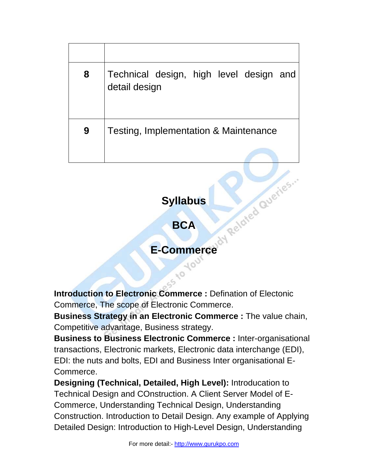| 8 | Technical design, high level design and<br>detail design |
|---|----------------------------------------------------------|
| 9 | Testing, Implementation & Maintenance                    |

## **Syllabus**

**BCA** 

# **E-Commerce** day Related Queries

**Introduction to Electronic Commerce :** Defination of Electonic Commerce, The scope of Electronic Commerce.

**Business Strategy in an Electronic Commerce :** The value chain, Competitive advantage, Business strategy.

**Business to Business Electronic Commerce :** Inter-organisational transactions, Electronic markets, Electronic data interchange (EDI), EDI: the nuts and bolts, EDI and Business Inter organisational E-Commerce.

**Designing (Technical, Detailed, High Level):** Introducation to Technical Design and COnstruction. A Client Server Model of E-Commerce, Understanding Technical Design, Understanding Construction. Introduction to Detail Design. Any example of Applying Detailed Design: Introduction to High-Level Design, Understanding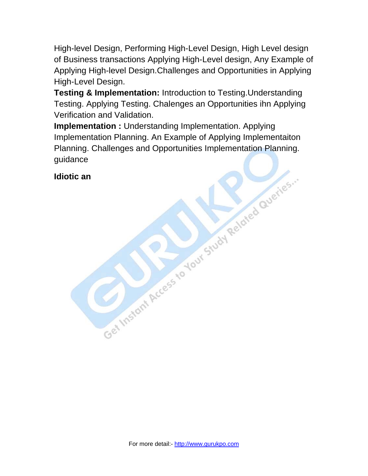High-level Design, Performing High-Level Design, High Level design of Business transactions Applying High-Level design, Any Example of Applying High-level Design.Challenges and Opportunities in Applying High-Level Design.

**Testing & Implementation:** Introduction to Testing.Understanding Testing. Applying Testing. Chalenges an Opportunities ihn Applying Verification and Validation.

**Implementation :** Understanding Implementation. Applying Implementation Planning. An Example of Applying Implementaiton Planning. Challenges and Opportunities Implementation Planning. Get Instant Access to Your Study Related Queries... guidance

**Idiotic an**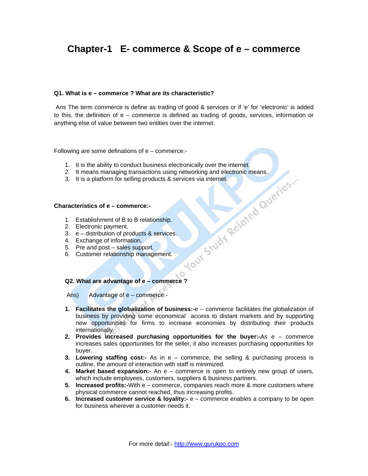## **Chapter-1 E- commerce & Scope of e – commerce**

#### **Q1. What is e – commerce ? What are its characteristic?**

 Ans The term commerce is define as trading of good & services or if 'e' for 'electronic' is added to this, the definition of e – commerce is defined as trading of goods, services, information or anything else of value between two entities over the internet.

Following are some definations of  $e$  – commerce:-

- 
- 1. It is the ability to conduct business electronically over the internet.<br>
2. It means managing transactions using networking and electronic means.<br>
3. It is a platform for selling products & services via internet.<br>
1. Es 2. It means managing transactions using networking and electronic means.
- 3. It is a platform for selling products & services via internet.

#### **Characteristics of e – commerce:-**

- 1. Establishment of B to B relationship.
- 2. Electronic payment.
- 3. e distribution of products & services.
- 4. Exchange of information.
- 5. Pre and post sales support.
- 6. Customer relationship management.

#### **Q2. What are advantage of e – commerce ?**

Ans) Advantage of e – commerce:-

**1. Facilitates the globalization of business:-**e – commerce facilitates the globalization of business by providing some economical access to distant markets and by supporting new opportunities for firms to increase economies by distributing their products internationally.

 $\sim$  0

- **2. Provides increased purchasing opportunities for the buyer:-**As e commerce increases sales opportunities for the seller, it also increases purchasing opportunities for buyer.
- **3. Lowering staffing cost:-** As in e commerce, the selling & purchasing process is outline, the amount of interaction with staff is minimized.
- **4. Market based expansion:-** An e commerce is open to entirely new group of users, which include employees, customers, suppliers & business partners.
- **5. Increased profits:-**With e commerce, companies reach more & more customers where physical commerce cannot reached, thus increasing profits.
- **6. Increased customer service & loyality:-** e commerce enables a company to be open for business wherever a customer needs it.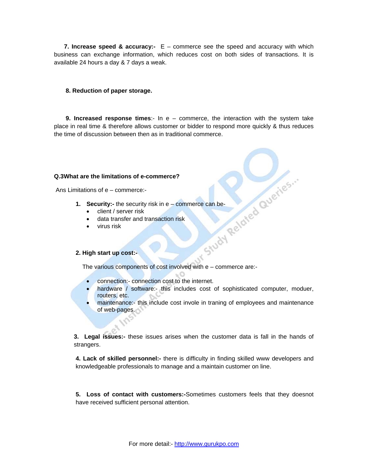**7. Increase speed & accuracy:-** E – commerce see the speed and accuracy with which business can exchange information, which reduces cost on both sides of transactions. It is available 24 hours a day & 7 days a weak.

#### **8. Reduction of paper storage.**

 **9. Increased response times**:- In e – commerce, the interaction with the system take place in real time & therefore allows customer or bidder to respond more quickly & thus reduces the time of discussion between then as in traditional commerce.

#### **Q.3What are the limitations of e-commerce?**

Ans Limitations of e – commerce:-

- **1. Security:-** the security risk in e commerce can be-<br>
client / server risk<br>
 data transfer and transaction risk<br>
 virus risk<br> **2. High start up co-**
	- client / server risk
	- data transfer and transaction risk
	- virus risk

#### **2. High start up cost:-**

The various components of cost involved with e – commerce are:-

- connection:- connection cost to the internet.
- hardware / software:- this includes cost of sophisticated computer, moduer, routers, etc.
- maintenance:- this include cost invole in traning of employees and maintenance of web-pages.

**3. Legal issues:-** these issues arises when the customer data is fall in the hands of strangers.

**4. Lack of skilled personnel:-** there is difficulty in finding skilled www developers and knowledgeable professionals to manage and a maintain customer on line.

**5. Loss of contact with customers:-**Sometimes customers feels that they doesnot have received sufficient personal attention.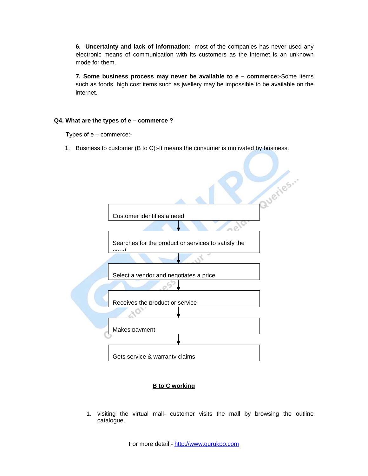**6. Uncertainty and lack of information**:- most of the companies has never used any electronic means of communication with its customers as the internet is an unknown mode for them.

**7. Some business process may never be available to e – commerce:-**Some items such as foods, high cost items such as jwellery may be impossible to be available on the internet.

#### **Q4. What are the types of e – commerce ?**

Types of e – commerce:-

1. Business to customer (B to C):-It means the consumer is motivated by business.



#### **B to C working**

1. visiting the virtual mall- customer visits the mall by browsing the outline catalogue.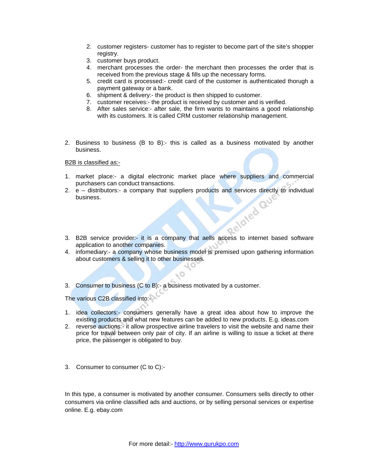- 2. customer registers- customer has to register to become part of the site's shopper registry.
- 3. customer buys product.
- 4. merchant processes the order- the merchant then processes the order that is received from the previous stage & fills up the necessary forms.
- 5. credit card is processed:- credit card of the customer is authenticated thorugh a payment gateway or a bank.
- 6. shipment & delivery:- the product is then shipped to customer.
- 7. customer receives:- the product is received by customer and is verified.
- 8. After sales service:- after sale, the firm wants to maintains a good relationship with its customers. It is called CRM customer relationship management.
- 2. Business to business (B to B):- this is called as a business motivated by another business.

B2B is classified as:-

- 1. market place:- a digital electronic market place where suppliers and commercial purchasers can conduct transactions.
- 2. e distributors:- a company that suppliers products and services directly to individual business. business.
- 3. B2B service provider:- it is a company that aells access to internet based software application to another companies.
- 4. infomediary:- a company whose business model is premised upon gathering information about customers & selling it to other businesses.

 $\mathbb{Q}_{jl}$ 

3. Consumer to business (C to B):- a business motivated by a customer.

The various C2B classified into:-

- 1. idea collectors:- consumers generally have a great idea about how to improve the existing products and what new features can be added to new products. E.g. ideas.com
- 2. reverse auctions:- it allow prospective airline travelers to visit the website and name their price for traval between only pair of city. If an airline is willing to issue a ticket at there price, the passenger is obligated to buy.
- 3. Consumer to consumer (C to C):-

In this type, a consumer is motivated by another consumer. Consumers sells directly to other consumers via online classified ads and auctions, or by selling personal services or expertise online. E.g. ebay.com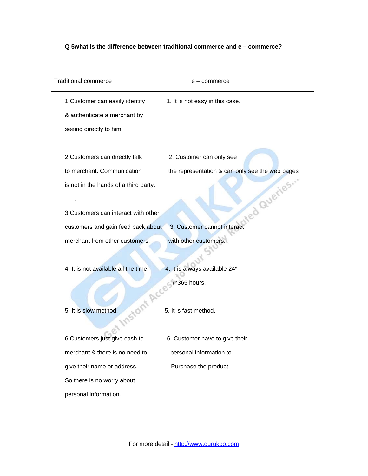#### **Q 5what is the difference between traditional commerce and e – commerce?**

| <b>Traditional commerce</b>           | e – commerce                                    |
|---------------------------------------|-------------------------------------------------|
| 1. Customer can easily identify       | 1. It is not easy in this case.                 |
| & authenticate a merchant by          |                                                 |
| seeing directly to him.               |                                                 |
|                                       |                                                 |
| 2. Customers can directly talk        | 2. Customer can only see                        |
| to merchant. Communication            | the representation & can only see the web pages |
| is not in the hands of a third party. |                                                 |
|                                       | red Queries."                                   |
| 3. Customers can interact with other  |                                                 |
| customers and gain feed back about    | 3. Customer cannot interact                     |
| merchant from other customers.        | with other customers.                           |
|                                       |                                                 |
| 4. It is not available all the time.  | 4. It is always available 24*                   |
|                                       | 7*365 hours.                                    |
|                                       |                                                 |
| 5. It is slow method.                 | 5. It is fast method.                           |
|                                       |                                                 |
| 6 Customers just give cash to         | 6. Customer have to give their                  |
| merchant & there is no need to        | personal information to                         |
| give their name or address.           | Purchase the product.                           |
| So there is no worry about            |                                                 |
| personal information.                 |                                                 |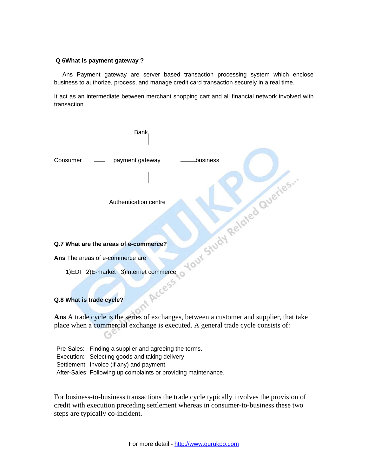#### **Q 6What is payment gateway ?**

 Ans Payment gateway are server based transaction processing system which enclose business to authorize, process, and manage credit card transaction securely in a real time.

It act as an intermediate between merchant shopping cart and all financial network involved with transaction.



**Ans** A trade cycle is the series of exchanges, between a customer and supplier, that take place when a commercial exchange is executed. A general trade cycle consists of:

| Pre-Sales: Finding a supplier and agreeing the terms.          |
|----------------------------------------------------------------|
| Execution: Selecting goods and taking delivery.                |
| Settlement: Invoice (if any) and payment.                      |
| After-Sales: Following up complaints or providing maintenance. |

C۹

For business-to-business transactions the trade cycle typically involves the provision of credit with execution preceding settlement whereas in consumer-to-business these two steps are typically co-incident.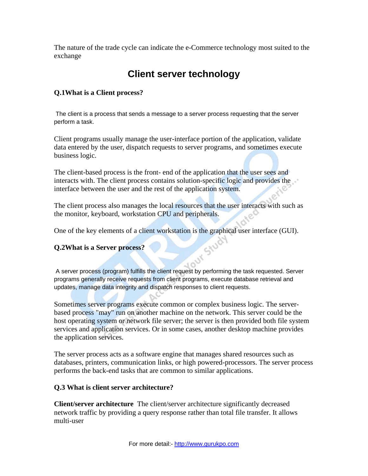The nature of the trade cycle can indicate the e-Commerce technology most suited to the exchange

## **Client server technology**

#### **Q.1What is a Client process?**

 The client is a process that sends a message to a server process requesting that the server perform a task.

Client programs usually manage the user-interface portion of the application, validate data entered by the user, dispatch requests to server programs, and sometimes execute business logic.

The client-based process is the front- end of the application that the user sees and interacts with. The client process contains solution-specific logic and provides the interface between the user and the rest of the application system.

The client process also manages the local resources that the user interacts with such as the monitor, keyboard, workstation CPU and peripherals.

One of the key elements of a client workstation is the graphical user interface (GUI).<br>Q.2What is a Server process?

#### **Q.2What is a Server process?**

 A server process (program) fulfills the client request by performing the task requested. Server programs generally receive requests from client programs, execute database retrieval and updates, manage data integrity and dispatch responses to client requests.

Sometimes server programs execute common or complex business logic. The serverbased process "may" run on another machine on the network. This server could be the host operating system or network file server; the server is then provided both file system services and application services. Or in some cases, another desktop machine provides the application services.

The server process acts as a software engine that manages shared resources such as databases, printers, communication links, or high powered-processors. The server process performs the back-end tasks that are common to similar applications.

#### **Q.3 What is client server architecture?**

**Client/server architecture** The client/server architecture significantly decreased network traffic by providing a query response rather than total file transfer. It allows multi-user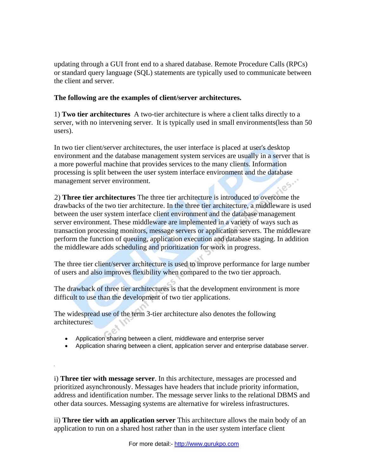updating through a GUI front end to a shared database. Remote Procedure Calls (RPCs) or standard query language (SQL) statements are typically used to communicate between the client and server.

#### **The following are the examples of client/server architectures.**

1) **Two tier architectures** A two-tier architecture is where a client talks directly to a server, with no intervening server. It is typically used in small environments(less than 50 users).

In two tier client/server architectures, the user interface is placed at user's desktop environment and the database management system services are usually in a server that is a more powerful machine that provides services to the many clients. Information processing is split between the user system interface environment and the database management server environment.

2) **Three tier architectures** The three tier architecture is introduced to overcome the drawbacks of the two tier architecture. In the three tier architecture, a middleware is used between the user system interface client environment and the database management server environment. These middleware are implemented in a variety of ways such as transaction processing monitors, message servers or application servers. The middleware perform the function of queuing, application execution and database staging. In addition the middleware adds scheduling and prioritization for work in progress.

The three tier client/server architecture is used to improve performance for large number of users and also improves flexibility when compared to the two tier approach.

The drawback of three tier architectures is that the development environment is more difficult to use than the development of two tier applications.

The widespread use of the term 3-tier architecture also denotes the following architectures:

- Application sharing between a client, middleware and enterprise server
- Application sharing between a client, application server and enterprise database server.

i) **Three tier with message server**. In this architecture, messages are processed and prioritized asynchronously. Messages have headers that include priority information, address and identification number. The message server links to the relational DBMS and other data sources. Messaging systems are alternative for wireless infrastructures.

ii) **Three tier with an application server** This architecture allows the main body of an application to run on a shared host rather than in the user system interface client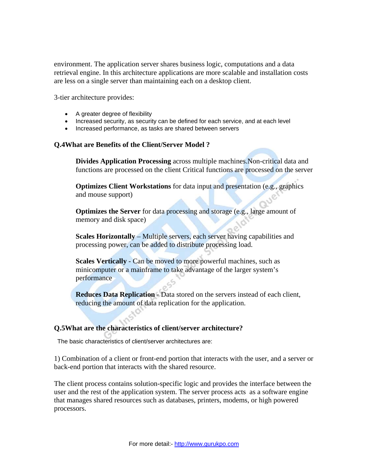environment. The application server shares business logic, computations and a data retrieval engine. In this architecture applications are more scalable and installation costs are less on a single server than maintaining each on a desktop client.

3-tier architecture provides:

- A greater degree of flexibility
- Increased security, as security can be defined for each service, and at each level
- Increased performance, as tasks are shared between servers

#### **Q.4What are Benefits of the Client/Server Model ?**

**Divides Application Processing** across multiple machines.Non-critical data and functions are processed on the client Critical functions are processed on the server

**Optimizes Client Workstations** for data input and presentation (e.g., graphics and mouse support)

**Optimizes the Server** for data processing and storage (e.g., large amount of memory and disk space)

**Scales Horizontally** – Multiple servers, each server having capabilities and processing power, can be added to distribute processing load.

**Scales Vertically - Can be moved to more powerful machines, such as** minicomputer or a mainframe to take advantage of the larger system's performance

**Reduces Data Replication** - Data stored on the servers instead of each client, reducing the amount of data replication for the application.

#### **Q.5What are the characteristics of client/server architecture?**

The basic characteristics of client/server architectures are:

1) Combination of a client or front-end portion that interacts with the user, and a server or back-end portion that interacts with the shared resource.

The client process contains solution-specific logic and provides the interface between the user and the rest of the application system. The server process acts as a software engine that manages shared resources such as databases, printers, modems, or high powered processors.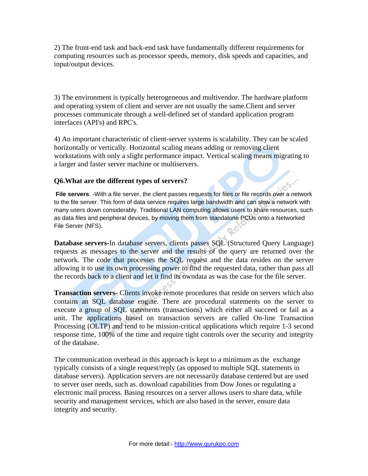2) The front-end task and back-end task have fundamentally different requirements for computing resources such as processor speeds, memory, disk speeds and capacities, and input/output devices.

3) The environment is typically heterogeneous and multivendor. The hardware platform and operating system of client and server are not usually the same.Client and server processes communicate through a well-defined set of standard application program interfaces (API's) and RPC's.

4) An important characteristic of client-server systems is scalability. They can be scaled horizontally or vertically. Horizontal scaling means adding or removing client workstations with only a slight performance impact. Vertical scaling means migrating to a larger and faster server machine or multiservers.

#### **Q6.What are the different types of servers?**

**File servers**. -With a file server, the client passes requests for files or file records over a network to the file server. This form of data service requires large bandwidth and can slow a network with many users down considerably. Traditional LAN computing allows users to share resources, such as data files and peripheral devices, by moving them from standalone PCUs onto a Networked File Server (NFS).

**Database servers-**In database servers, clients passes SQL (Structured Query Language) requests as messages to the server and the results of the query are returned over the network. The code that processes the SQL request and the data resides on the server allowing it to use its own processing power to find the requested data, rather than pass all the records back to a client and let it find its owndata as was the case for the file server.

**Transaction servers**- Clients invoke remote procedures that reside on servers which also contains an SQL database engine. There are procedural statements on the server to execute a group of SQL statements (transactions) which either all succeed or fail as a unit. The applications based on transaction servers are called On-line Transaction Processing (OLTP) and tend to be mission-critical applications which require 1-3 second response time, 100% of the time and require tight controls over the security and integrity of the database.

The communication overhead in this approach is kept to a minimum as the exchange typically consists of a single request/reply (as opposed to multiple SQL statements in database servers). Application servers are not necessarily database centered but are used to server user needs, such as. download capabilities from Dow Jones or regulating a electronic mail process. Basing resources on a server allows users to share data, while security and management services, which are also based in the server, ensure data integrity and security.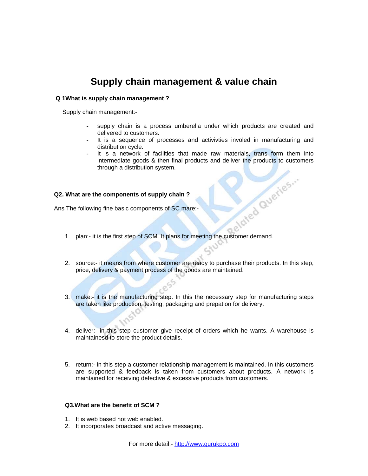## **Supply chain management & value chain**

#### **Q 1What is supply chain management ?**

Supply chain management:-

- supply chain is a process umberella under which products are created and delivered to customers.
- It is a sequence of processes and activivties involed in manufacturing and distribution cycle.
- It is a network of facilities that made raw materials, trans form them into intermediate goods & then final products and deliver the products to customers through a distribution system.

#### **Q2. What are the components of supply chain ?**

Ans The following fine basic components of SC mare:-

- 1. plan:- it is the first step of SCM. It plans for meeting the customer demand.
- 2. source:- it means from where customer are ready to purchase their products. In this step, price, delivery & payment process of the goods are maintained.
- 3. make:- it is the manufacturing step. In this the necessary step for manufacturing steps are taken like production, testing, packaging and prepation for delivery.
- 4. deliver:- in this step customer give receipt of orders which he wants. A warehouse is maintainesd to store the product details.
- 5. return:- in this step a customer relationship management is maintained. In this customers are supported & feedback is taken from customers about products. A network is maintained for receiving defective & excessive products from customers.

#### **Q3.What are the benefit of SCM ?**

- 1. It is web based not web enabled.
- 2. It incorporates broadcast and active messaging.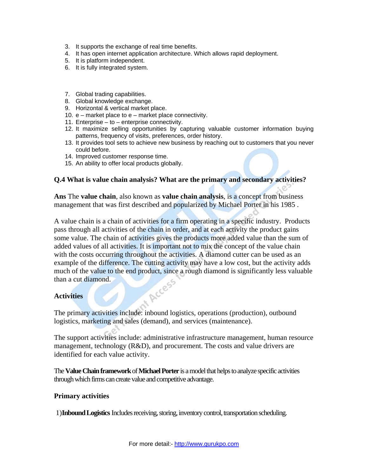- 3. It supports the exchange of real time benefits.
- 4. It has open internet application architecture. Which allows rapid deployment.
- 5. It is platform independent.
- 6. It is fully integrated system.
- 7. Global trading capabilities.
- 8. Global knowledge exchange.
- 9. Horizontal & vertical market place.
- 10. e market place to e market place connectivity.
- 11. Enterprise to enterprise connectivity.
- 12. It maximize selling opportunities by capturing valuable customer information buying patterns, frequency of visits, preferences, order history.
- 13. It provides tool sets to achieve new business by reaching out to customers that you never could before.
- 14. Improved customer response time.
- 15. An ability to offer local products globally.

#### **Q.4 What is value chain analysis? What are the primary and secondary activities?**

**Ans** The **value chain**, also known as **value chain analysis**, is a concept from business management that was first described and popularized by Michael Porter in his 1985 .

A value chain is a chain of activities for a firm operating in a specific industry. Products pass through all activities of the chain in order, and at each activity the product gains some value. The chain of activities gives the products more added value than the sum of added values of all activities. It is important not to mix the concept of the value chain with the costs occurring throughout the activities. A diamond cutter can be used as an example of the difference. The cutting activity may have a low cost, but the activity adds much of the value to the end product, since a rough diamond is significantly less valuable than a cut diamond. of Access

#### **Activities**

The primary activities include: inbound logistics, operations (production), outbound logistics, marketing and sales (demand), and services (maintenance).

The support activities include: administrative infrastructure management, human resource management, technology (R&D), and procurement. The costs and value drivers are identified for each value activity.

The **Value Chain framework** of **Michael Porter** is a model that helps to analyze specific activities through which firms can create value and competitive advantage.

#### **Primary activities**

1)**Inbound Logistics** Includes receiving, storing, inventory control, transportation scheduling.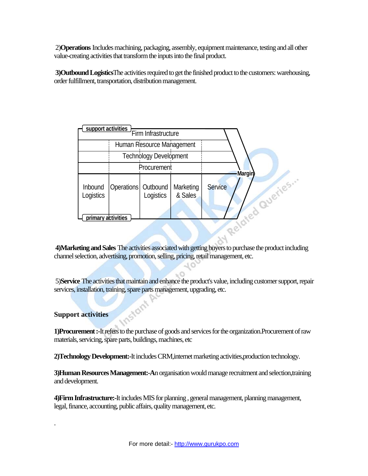2)**Operations** Includes machining, packaging, assembly, equipment maintenance, testing and all other value-creating activities that transform the inputs into the final product.

 **3)Outbound Logistics**The activities required to get the finished product to the customers: warehousing, order fulfillment, transportation, distribution management.

| support activities   |                       |                               |                      |                |          |
|----------------------|-----------------------|-------------------------------|----------------------|----------------|----------|
|                      |                       | Firm Infrastructure           |                      |                |          |
|                      |                       | Human Resource Management     |                      |                |          |
|                      |                       | <b>Technology Development</b> |                      |                |          |
|                      | Procurement           |                               |                      | <b>Margin</b>  |          |
| Inbound<br>Logistics | Operations   Outbound | Logistics                     | Marketing<br>& Sales | <b>Service</b> | Queries. |
| primary activities   |                       |                               |                      |                |          |
|                      |                       |                               |                      |                |          |

 **4)Marketing and Sales** The activities associated with getting buyers to purchase the product including channel selection, advertising, promotion, selling, pricing, retail management, etc.

 $hO$ 

 5)**Service** The activities that maintain and enhance the product's value, including customer support, repair services, installation, training, spare parts management, upgrading, etc.

#### **Support activities**

.

**1)Procurement :-**It refers to the purchase of goods and services for the organization.Procurement of raw materials, servicing, spare parts, buildings, machines, etc

**2)Technology Development:-**It includes CRM,internet marketing activities,production technology.

**3)Human Resources Management:-A**n organisation would manage recruitment and selection,training and development.

**4)Firm Infrastructure:-**It includes MIS for planning , general management, planning management, legal, finance, accounting, public affairs, quality management, etc.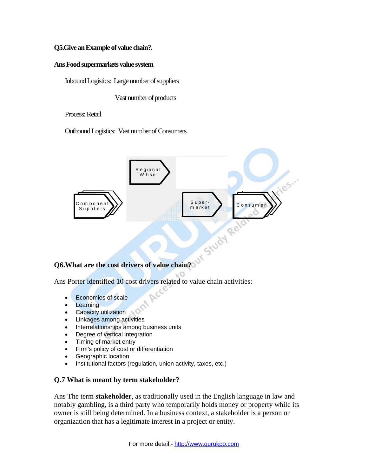#### **Q5.Give an Example of value chain?.**

#### **Ans Food supermarkets value system**

Inbound Logistics: Large number of suppliers

Vast number of products

Process: Retail

Outbound Logistics: Vast number of Consumers



#### **Q6.What are the cost drivers of value chain?**

Ans Porter identified 10 cost drivers related to value chain activities:

- Economies of scale
- Learning
- Capacity utilization
- Linkages among activities
- Interrelationships among business units
- Degree of vertical integration
- Timing of market entry
- Firm's policy of cost or differentiation
- Geographic location
- Institutional factors (regulation, union activity, taxes, etc.)

#### **Q.7 What is meant by term stakeholder?**

Ans The term **stakeholder**, as traditionally used in the English language in law and notably gambling, is a third party who temporarily holds money or property while its owner is still being determined. In a business context, a stakeholder is a person or organization that has a legitimate interest in a project or entity.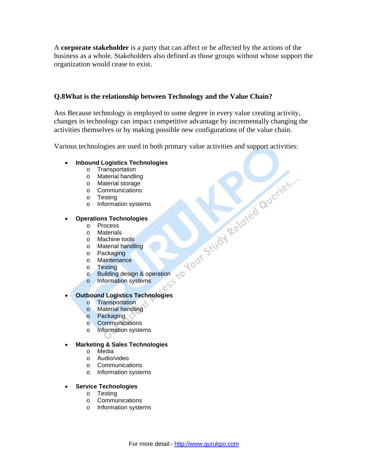A **corporate stakeholder** is a party that can affect or be affected by the actions of the business as a whole. Stakeholders also defined as those groups without whose support the organization would cease to exist.

#### **Q.8What is the relationship between Technology and the Value Chain?**

Ans Because technology is employed to some degree in every value creating activity, changes in technology can impact competitive advantage by incrementally changing the activities themselves or by making possible new configurations of the value chain.

Various technologies are used in both primary value activities and support activities:

#### • **Inbound Logistics Technologies**

- o Transportation
- o Material handling
- o Material storage
- o Communications
- o Testing
- o Information systems

#### • **Operations Technologies**

- o Process
- o Materials
- o Machine tools
- o Material handling
- o Packaging
- o Maintenance
- o Testing
- to Your Study Related Queries.  $\sim$ o Building design & operation
- o Information systems

#### • **Outbound Logistics Technologies**

- o Transportation
- o Material handling
- o Packaging
- o Communications
- o Information systems

#### • **Marketing & Sales Technologies**

- o Media
- o Audio/video
- o Communications
- o Information systems

#### • **Service Technologies**

- o Testing
- o Communications
- o Information systems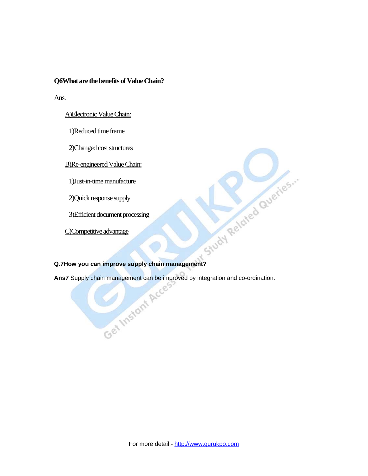#### **Q6What are the benefits of Value Chain?**

Ans.

#### A)Electronic Value Chain:

1)Reduced time frame

2)Changed cost structures

B)Re-engineered Value Chain:

1)Just-in-time manufacture

2)Quick response supply

3)Efficient document processing

C)Competitive advantage

**Efficient document processing**<br> **Q.7How you can improve supply chain management?**<br> **Q.7How you can improve supply chain management?**<br> **Ans7** Supply chain management can be improved by integration and co-ordination.<br>
Cec<sup>e</sup> **Ans7** Supply chain management can be improved by integration and co-ordination.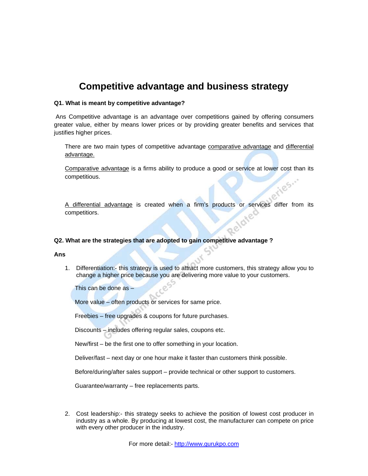## **Competitive advantage and business strategy**

#### **Q1. What is meant by competitive advantage?**

 Ans Competitive advantage is an advantage over competitions gained by offering consumers greater value, either by means lower prices or by providing greater benefits and services that justifies higher prices.

There are two main types of competitive advantage comparative advantage and differential advantage.

Comparative advantage is a firms ability to produce a good or service at lower cost than its competitious.

A differential advantage is created when a firm's products or services differ from its competitiors.

#### **Q2. What are the strategies that are adopted to gain competitive advantage ?**

#### **Ans**

1. Differentiation:- this strategy is used to attract more customers, this strategy allow you to change a higher price because you are delivering more value to your customers.

This can be done as –

More value – often products or services for same price.

Freebies – free upgrades & coupons for future purchases.

Discounts – includes offering regular sales, coupons etc.

New/first – be the first one to offer something in your location.

Deliver/fast – next day or one hour make it faster than customers think possible.

Before/during/after sales support – provide technical or other support to customers.

Guarantee/warranty – free replacements parts.

2. Cost leadership:- this strategy seeks to achieve the position of lowest cost producer in industry as a whole. By producing at lowest cost, the manufacturer can compete on price with every other producer in the industry.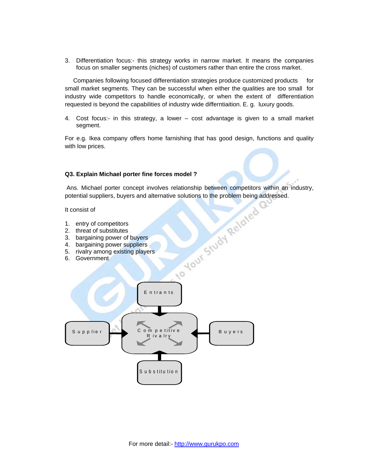3. Differentiation focus:- this strategy works in narrow market. It means the companies focus on smaller segments (niches) of customers rather than entire the cross market.

 Companies following focused differentiation strategies produce customized products for small market segments. They can be successful when either the qualities are too small for industry wide competitors to handle economically, or when the extent of differentiation requested is beyond the capabilities of industry wide differntiaition. E. g. luxury goods.

4. Cost focus:- in this strategy, a lower – cost advantage is given to a small market segment.

For e.g. Ikea company offers home farnishing that has good design, functions and quality with low prices.

#### **Q3. Explain Michael porter fine forces model ?**

Ans. Michael porter concept involves relationship between competitors within an industry,

It consist of

- 1. entry of competitors
- 2. threat of substitutes
- 3. bargaining power of buyers
- 4. bargaining power suppliers
- 5. rivalry among existing players
- 6. Government

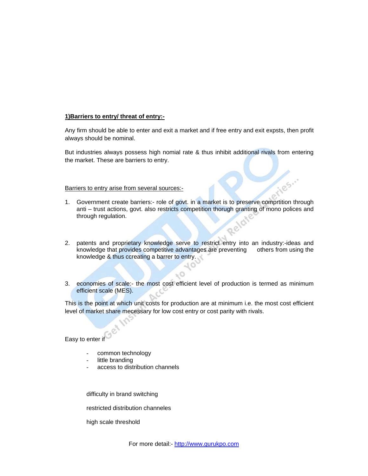#### **1)Barriers to entry/ threat of entry:-**

Any firm should be able to enter and exit a market and if free entry and exit expsts, then profit always should be nominal.

But industries always possess high nomial rate & thus inhibit additional rivals from entering the market. These are barriers to entry.

#### Barriers to entry arise from several sources:-

- 1. Government create barriers:- role of govt. in a market is to preserve comprtition through anti – trust actions, govt. also restricts competition thorugh granting of mono polices and through regulation.
- 2. patents and proprietary knowledge serve to restrict entry into an industry:-ideas and knowledge that provides competitive advantages are preventing others from using the knowledge & thus ccreating a barrer to entry.
- 3. economies of scale:- the most cost efficient level of production is termed as minimum efficient scale (MES).

This is the point at which unit costs for production are at minimum i.e. the most cost efficient level of market share mecessary for low cost entry or cost parity with rivals.

Easy to enter if

- common technology
- little branding
- access to distribution channels

difficulty in brand switching

restricted distribution channeles

high scale threshold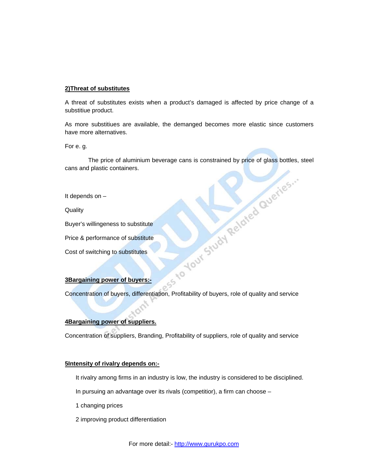#### **2)Threat of substitutes**

A threat of substitutes exists when a product's damaged is affected by price change of a substitiue product.

As more substitiues are available, the demanged becomes more elastic since customers have more alternatives.

For e. g.

The price of aluminium beverage cans is constrained by price of glass bottles, steel<br>d plastic containers.<br>ds on –<br>willingeness to substitute<br>berformance of substitutes<br>witching to substitutes cans and plastic containers.

It depends on –

**Quality** 

Buyer's willingeness to substitute

Price & performance of substitute

Cost of switching to substitutes

#### **3Bargaining power of buyers:-**

Concentration of buyers, differentiation, Profitability of buyers, role of quality and service

#### **4Bargaining power of suppliers.**

Concentration of suppliers, Branding, Profitability of suppliers, role of quality and service

#### **5Intensity of rivalry depends on:-**

It rivalry among firms in an industry is low, the industry is considered to be disciplined.

In pursuing an advantage over its rivals (competitior), a firm can choose –

- 1 changing prices
- 2 improving product differentiation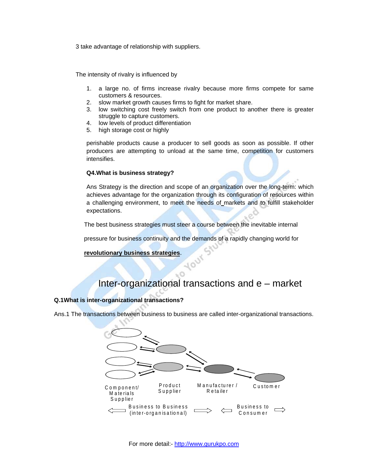3 take advantage of relationship with suppliers.

The intensity of rivalry is influenced by

- 1. a large no. of firms increase rivalry because more firms compete for same customers & resources.
- 2. slow market growth causes firms to fight for market share.
- 3. low switching cost freely switch from one product to another there is greater struggle to capture customers.
- 4. low levels of product differentiation
- 5. high storage cost or highly

perishable products cause a producer to sell goods as soon as possible. If other producers are attempting to unload at the same time, competition for customers intensifies.

#### **Q4.What is business strategy?**

Ans Strategy is the direction and scope of an organization over the long-term: which achieves advantage for the organization through its configuration of resources within a challenging environment, to meet the needs of markets and to fulfill stakeholder expectations.

The best business strategies must steer a course between the inevitable internal

pressure for business continuity and the demands of a rapidly changing world for

#### **[revolutionary business strategies](http://www.thinkingmanagers.com/management/revolutionary-strategies.php)**.

### Inter-organizational transactions and e – market

#### **Q.1What is inter-organizational transactions?**

Ans.1 The transactions between business to business are called inter-organizational transactions.

 $\frac{1}{2}$ 

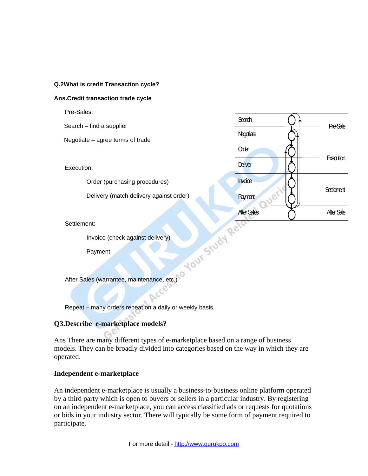#### **Q.2What is credit Transaction cycle?**

#### **Ans.Credit transaction trade cycle**

Pre-Sales:

Search – find a supplier  $\rightharpoonup$  Pre-Sale

Negotiate – agree terms of trade

Execution:

Order (purchasing procedures)

Delivery (match delivery against order)

#### Settlement:

Invoice (check against delivery)

**Payment** 

After Sales (warrantee, maintenance, etc.)

Repeat – many orders repeat on a daily or weekly basis.

#### **Q3.Describe e-marketplace models?**

Ans There are many different types of e-marketplace based on a range of business models. They can be broadly divided into categories based on the way in which they are operated.

**Search** 

**Negotiate** 

Order

**Deliver** 

**Execution** 

**Settlement** 

After Sale

**Invoice** 

**Payment** 

**After Sales** 

#### **Independent e-marketplace**

An independent e-marketplace is usually a business-to-business online platform operated by a third party which is open to buyers or sellers in a particular industry. By registering on an independent e-marketplace, you can access classified ads or requests for quotations or bids in your industry sector. There will typically be some form of payment required to participate.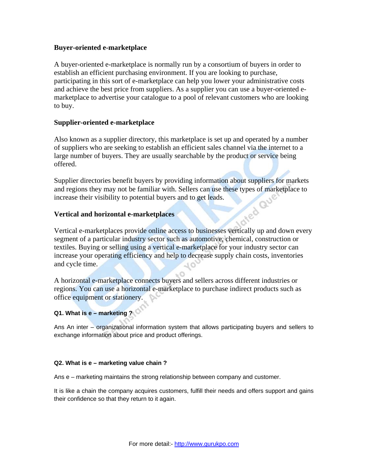#### **Buyer-oriented e-marketplace**

A buyer-oriented e-marketplace is normally run by a consortium of buyers in order to establish an efficient purchasing environment. If you are looking to purchase, participating in this sort of e-marketplace can help you lower your administrative costs and achieve the best price from suppliers. As a supplier you can use a buyer-oriented emarketplace to advertise your catalogue to a pool of relevant customers who are looking to buy.

#### **Supplier-oriented e-marketplace**

Also known as a supplier directory, this marketplace is set up and operated by a number of suppliers who are seeking to establish an efficient sales channel via the internet to a large number of buyers. They are usually searchable by the product or service being offered.

Supplier directories benefit buyers by providing information about suppliers for markets and regions they may not be familiar with. Sellers can use these types of marketplace to increase their visibility to potential buyers and to get leads.<br>Vertical and horizontal e-marketplaces increase their visibility to potential buyers and to get leads.

#### **Vertical and horizontal e-marketplaces**

Vertical e-marketplaces provide online access to businesses vertically up and down every segment of a particular industry sector such as automotive, chemical, construction or textiles. Buying or selling using a vertical e-marketplace for your industry sector can increase your operating efficiency and help to decrease supply chain costs, inventories and cycle time.

A horizontal e-marketplace connects buyers and sellers across different industries or regions. You can use a horizontal e-marketplace to purchase indirect products such as office equipment or stationery.

#### **Q1. What is e – marketing ?**

Ans An inter – organizational information system that allows participating buyers and sellers to exchange information about price and product offerings.

#### **Q2. What is e – marketing value chain ?**

Ans e – marketing maintains the strong relationship between company and customer.

It is like a chain the company acquires customers, fulfill their needs and offers support and gains their confidence so that they return to it again.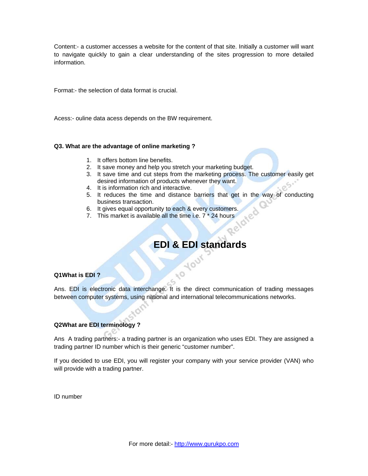Content:- a customer accesses a website for the content of that site. Initially a customer will want to navigate quickly to gain a clear understanding of the sites progression to more detailed information.

Format:- the selection of data format is crucial.

Acess:- ouline data acess depends on the BW requirement.

#### **Q3. What are the advantage of online marketing ?**

- 1. It offers bottom line benefits.
- 2. It save money and help you stretch your marketing budget.
- 3. It save time and cut steps from the marketing process. The customer easily get desired information of products whenever they want.
- 4. It is information rich and interactive.
- 5. It reduces the time and distance barriers that get in the way of conducting business transaction.
- 6. It gives equal opportunity to each & every customers.
- 7. This market is available all the time i.e. 7 \* 24 hours

## **EDI & EDI standards**

#### **Q1What is EDI ?**

Ans. EDI is electronic data interchange. It is the direct communication of trading messages between computer systems, using national and international telecommunications networks.

 $\sim$ 

400

#### **Q2What are EDI terminology ?**

Ans A trading partners:- a trading partner is an organization who uses EDI. They are assigned a trading partner ID number which is their generic "customer number".

If you decided to use EDI, you will register your company with your service provider (VAN) who will provide with a trading partner.

ID number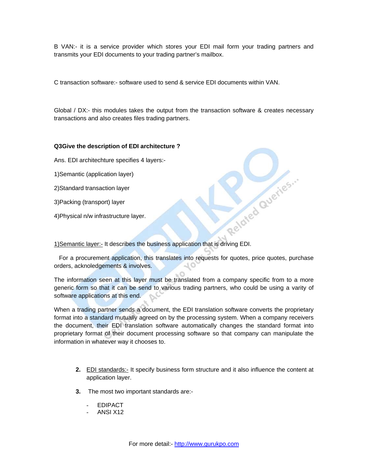B VAN:- it is a service provider which stores your EDI mail form your trading partners and transmits your EDI documents to your trading partner's mailbox.

C transaction software:- software used to send & service EDI documents within VAN.

Global / DX:- this modules takes the output from the transaction software & creates necessary transactions and also creates files trading partners.

#### **Q3Give the description of EDI architecture ?**

Ans. EDI architechture specifies 4 layers:-

1)Semantic (application layer)

2)Standard transaction layer

3)Packing (transport) layer

4)Physical n/w infrastructure layer.

3 (uansport) layer<br>4)Physical n/w infrastructure layer.<br>1)Semantic layer:- It describes the business application that is driving EDI.

 For a procurement application, this translates into requests for quotes, price quotes, purchase orders, acknoledgements & involves.

The information seen at this layer must be translated from a company specific from to a more generic form so that it can be send to various trading partners, who could be using a varity of software applications at this end.

When a trading partner sends a document, the EDI translation software converts the proprietary format into a standard mutually agreed on by the processing system. When a company receivers the document, their EDI translation software automatically changes the standard format into proprietary format of their document processing software so that company can manipulate the information in whatever way it chooses to.

- **2.** EDI standards:- It specify business form structure and it also influence the content at application layer.
- **3.** The most two important standards are:-
	- **EDIPACT**
	- ANSI X12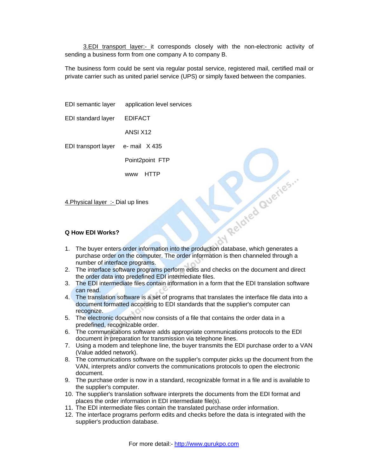3.EDI transport layer:- it corresponds closely with the non-electronic activity of sending a business form from one company A to company B.

The business form could be sent via regular postal service, registered mail, certified mail or private carrier such as united pariel service (UPS) or simply faxed between the companies.

EDI semantic layer application level services EDI standard layer EDIFACT ANSI X12 EDI transport layer e- mail X 435 Point2point FTP www HTTP

4.Physical layer :- Dial up lines

#### **Q How EDI Works?**

- 1. The buyer enters order information into the production database, which generates a purchase order on the computer. The order information is then channeled through a number of interface programs.
- 2. The interface software programs perform edits and checks on the document and direct the order data into predefined EDI intermediate files.

W Related Queries ...

- 3. The EDI intermediate files contain information in a form that the EDI translation software can read.
- 4. The translation software is a set of programs that translates the interface file data into a document formatted according to EDI standards that the supplier's computer can recognize.
- 5. The electronic document now consists of a file that contains the order data in a predefined, recognizable order.
- 6. The communications software adds appropriate communications protocols to the EDI document in preparation for transmission via telephone lines.
- 7. Using a modem and telephone line, the buyer transmits the EDI purchase order to a VAN (Value added network).
- 8. The communications software on the supplier's computer picks up the document from the VAN, interprets and/or converts the communications protocols to open the electronic document.
- 9. The purchase order is now in a standard, recognizable format in a file and is available to the supplier's computer.
- 10. The supplier's translation software interprets the documents from the EDI format and places the order information in EDI intermediate file(s).
- 11. The EDI intermediate files contain the translated purchase order information.
- 12. The interface programs perform edits and checks before the data is integrated with the supplier's production database.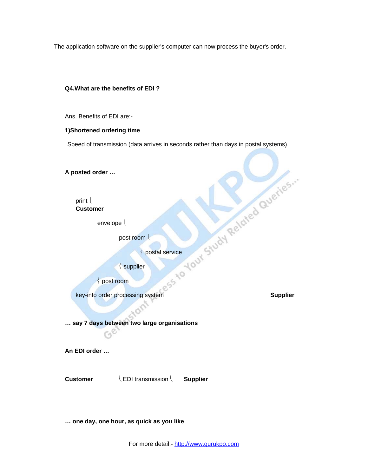The application software on the supplier's computer can now process the buyer's order.

# **Q4.What are the benefits of EDI ?**  Ans. Benefits of EDI are:- **1)Shortened ordering time**  Speed of transmission (data arrives in seconds rather than days in postal systems). **A posted order …**  print  $\lfloor$ **Customer** envelope l post room l ⎨ postal service  $\frac{1}{2}$  supplier ⎨ post room Key-into order processing system **Supplier … say 7 days between two large organisations An EDI order … Customer** ⎝ EDI transmission ⎝ **Supplier**

**… one day, one hour, as quick as you like**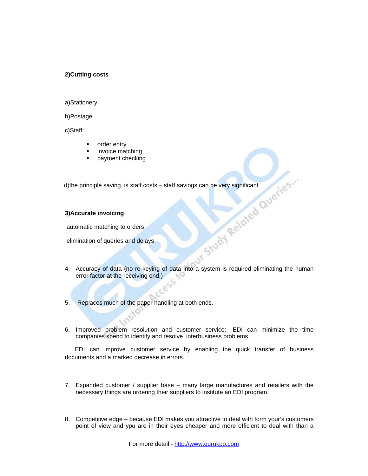#### **2)Cutting costs**

#### a)Stationery

b)Postage

c)Staff:

- order entry
- invoice matching
- payment checking

d)the principle saving is staff costs – staff savings can be very significant<br>3) Accurate invoicing<br>automatic matching to orders<br>elimination of queries and  $d\gamma$ 

#### **3)Accurate invoicing**

automatic matching to orders

elimination of queries and delays

4. Accuracy of data (no re-keying of data into a system is required eliminating the human error factor at the receiving end.)

 $\mathcal{S}$ 

- 5. Replaces much of the paper handling at both ends.
- 6. Improved problem resolution and customer service:- EDI can minimize the time companies spend to identify and resolve interbusiness problems.

 EDI can improve customer service by enabling the quick transfer of business documents and a marked decrease in errors.

- 7. Expanded customer / supplier base many large manufactures and retailers with the necessary things are ordering their suppliers to institute an EDI program.
- 8. Competitive edge because EDI makes you attractive to deal with form your's customers point of view and ypu are in their eyes cheaper and more efficient to deal with than a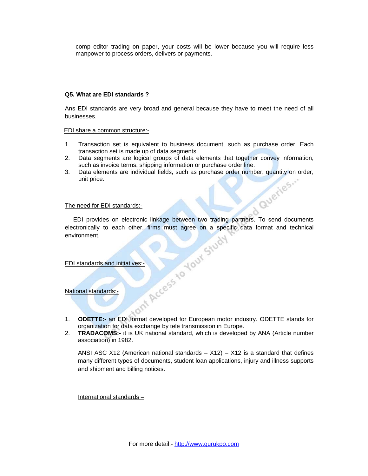comp editor trading on paper, your costs will be lower because you will require less manpower to process orders, delivers or payments.

#### **Q5. What are EDI standards ?**

Ans EDI standards are very broad and general because they have to meet the need of all businesses.

EDI share a common structure:-

- 1. Transaction set is equivalent to business document, such as purchase order. Each transaction set is made up of data segments.
- 2. Data segments are logical groups of data elements that together convey information, such as invoice terms, shipping information or purchase order line.
- 3. Data elements are individual fields, such as purchase order number, quantity on order, unit price.<br>The need for EDI standards unit price.

#### The need for EDI standards:-

EDI provides on electronic linkage between two trading partners. To send documents<br>ctronically to each other, firms must agree on a specific data format and technical<br>vironment.<br>Il standards and initiatives:<br>Il standards a electronically to each other, firms must agree on a specific data format and technical environment.

#### EDI standards and initiatives:-

National standards:-

- 1. **ODETTE:-** an EDI format developed for European motor industry. ODETTE stands for organization for data exchange by tele transmission in Europe.
- 2. **TRADACOMS:-** it is UK national standard, which is developed by ANA (Article number association) in 1982.

ANSI ASC X12 (American national standards  $- X12$ ) – X12 is a standard that defines many different types of documents, student loan applications, injury and illness supports and shipment and billing notices.

International standards –